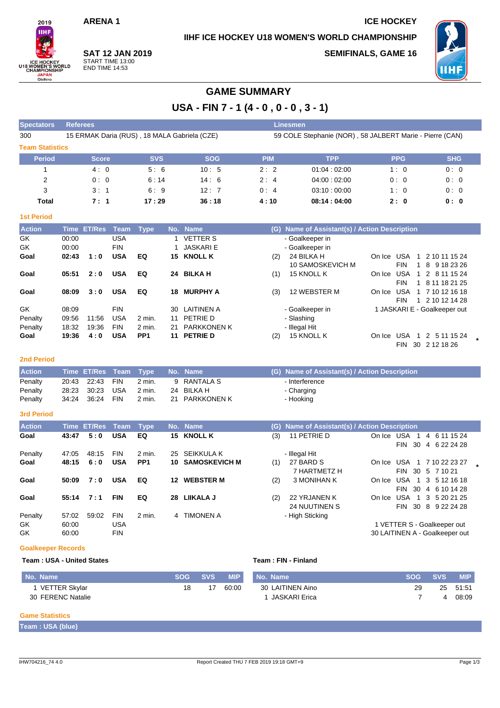## **ARENA 1 ICE HOCKEY**

**IIHF ICE HOCKEY U18 WOMEN'S WORLD CHAMPIONSHIP**



**SAT 12 JAN 2019** START TIME 13:00 END TIME 14:53

**SEMIFINALS, GAME 16**



## **GAME SUMMARY**

**USA - FIN 7 - 1 (4 - 0 , 0 - 0 , 3 - 1)**

| <b>Spectators</b>      | <b>Referees</b>                              |            |            |            | <b>Linesmen</b>                                          |            |            |  |  |  |  |  |  |  |
|------------------------|----------------------------------------------|------------|------------|------------|----------------------------------------------------------|------------|------------|--|--|--|--|--|--|--|
| 300                    | 15 ERMAK Daria (RUS), 18 MALA Gabriela (CZE) |            |            |            | 59 COLE Stephanie (NOR), 58 JALBERT Marie - Pierre (CAN) |            |            |  |  |  |  |  |  |  |
| <b>Team Statistics</b> |                                              |            |            |            |                                                          |            |            |  |  |  |  |  |  |  |
| <b>Period</b>          | <b>Score</b>                                 | <b>SVS</b> | <b>SOG</b> | <b>PIM</b> | <b>TPP</b>                                               | <b>PPG</b> | <b>SHG</b> |  |  |  |  |  |  |  |
|                        | 4:0                                          | 5:6        | 10:5       | 2:2        | 01:04:02:00                                              | 1:0        | 0:0        |  |  |  |  |  |  |  |
| 2                      | 0:0                                          | 6:14       | 14:6       | 2:4        | 04:00:02:00                                              | 0:0        | 0:0        |  |  |  |  |  |  |  |
| 3                      | 3:1                                          | 6:9        | 12:7       | 0:4        | 03:10:00:00                                              | 1:0        | 0:0        |  |  |  |  |  |  |  |
| Total                  | 7:1                                          | 17:29      | 36:18      | 4:10       | 08:14:04:00                                              | 2:0        | 0:0        |  |  |  |  |  |  |  |

#### **1st Period**

| <b>Action</b> |       | Time ET/Res | Team       | Type              |     | No. Name           |     | (G) Name of Assistant(s) / Action Description |                                         |  |  |  |  |  |
|---------------|-------|-------------|------------|-------------------|-----|--------------------|-----|-----------------------------------------------|-----------------------------------------|--|--|--|--|--|
| GK            | 00:00 |             | USA        |                   |     | <b>VETTER S</b>    |     | - Goalkeeper in                               |                                         |  |  |  |  |  |
| GK            | 00:00 |             | <b>FIN</b> |                   |     | JASKARI E          |     | - Goalkeeper in                               |                                         |  |  |  |  |  |
| Goal          | 02:43 | 1:0         | <b>USA</b> | EQ                | 15  | <b>KNOLL K</b>     | (2) | 24 BILKA H                                    | USA<br>2 10 11 15 24<br>On Ice          |  |  |  |  |  |
|               |       |             |            |                   |     |                    |     | 10 SAMOSKEVICH M                              | <b>FIN</b><br>8 9 18 23 26              |  |  |  |  |  |
| Goal          | 05:51 | 2:0         | <b>USA</b> | EQ                | 24  | <b>BILKA H</b>     | (1) | 15 KNOLL K                                    | USA<br>1 2 8 11 15 24<br>On Ice         |  |  |  |  |  |
|               |       |             |            |                   |     |                    |     |                                               | <b>FIN</b><br>1 8 11 18 21 25           |  |  |  |  |  |
| Goal          | 08:09 | 3:0         | <b>USA</b> | EQ                | 18. | <b>MURPHY A</b>    | (3) | 12 WEBSTER M                                  | <b>USA</b><br>1 7 10 12 16 18<br>On Ice |  |  |  |  |  |
|               |       |             |            |                   |     |                    |     |                                               | 1 2 10 12 14 28<br><b>FIN</b>           |  |  |  |  |  |
| GK            | 08:09 |             | <b>FIN</b> |                   | 30. | <b>LAITINEN A</b>  |     | - Goalkeeper in                               | 1 JASKARI E - Goalkeeper out            |  |  |  |  |  |
| Penalty       | 09.56 | 11:56       | <b>USA</b> | $2$ min.          | 11  | PETRIE D           |     | - Slashing                                    |                                         |  |  |  |  |  |
| Penalty       | 18:32 | 19:36       | <b>FIN</b> | $2 \text{ min}$ . | 21  | <b>PARKKONEN K</b> |     | - Illegal Hit                                 |                                         |  |  |  |  |  |
| Goal          | 19:36 | 4:0         | <b>USA</b> | PP <sub>1</sub>   | 11  | <b>PETRIE D</b>    | (2) | 15 KNOLL K                                    | <b>USA</b><br>2 5 11 15 24<br>On Ice    |  |  |  |  |  |
|               |       |             |            |                   |     |                    |     |                                               | 30 2 12 18 26<br><b>FIN</b>             |  |  |  |  |  |

### **2nd Period**

| <b>Action</b> | Time ET/Res Team Type |            |        | No. Name       | (G) Name of Assistant(s) / Action Description |
|---------------|-----------------------|------------|--------|----------------|-----------------------------------------------|
| Penalty       | 20:43 22:43           | FIN        | 2 min. | 9 RANTALA S    | - Interference                                |
| Penalty       | 28:23 30:23           | USA        | 2 min. | 24 BILKA H     | - Charging                                    |
| Penalty       | 34:24 36:24           | <b>FIN</b> | 2 min. | 21 PARKKONEN K | - Hooking                                     |

### **3rd Period**

| <b>Action</b>        |                         | Time ET/Res Team |                                        | Type            |     | No. Name                |     | (G) Name of Assistant(s) / Action Description |            |                         |   |                                                               |  |
|----------------------|-------------------------|------------------|----------------------------------------|-----------------|-----|-------------------------|-----|-----------------------------------------------|------------|-------------------------|---|---------------------------------------------------------------|--|
| Goal                 | 43:47                   | 5:0              | <b>USA</b>                             | EQ              |     | <b>15 KNOLL K</b>       | (3) | 11 PETRIE D                                   | On Ice USA | <b>FIN</b><br>-30       | 4 | 6 11 15 24<br>4 6 22 24 28                                    |  |
| Penalty              | 47:05                   | 48:15            | <b>FIN</b>                             | 2 min.          | 25  | SEIKKULA K              |     | - Illegal Hit                                 |            |                         |   |                                                               |  |
| Goal                 | 48:15                   | 6:0              | <b>USA</b>                             | PP <sub>1</sub> |     | <b>10 SAMOSKEVICH M</b> | (1) | 27 BARD S<br>7 HARTMETZ H                     | On Ice     | USA<br><b>FIN</b><br>30 |   | 7 10 22 23 27<br>5 7 10 21                                    |  |
| Goal                 | 50:09                   | 7:0              | <b>USA</b>                             | EQ              | 12. | <b>WEBSTER M</b>        | (2) | 3 MONIHAN K                                   | On Ice     | FIN.<br>-30             |   | USA 1 3 5 12 16 18<br>4 6 10 14 28                            |  |
| Goal                 | 55:14                   | 7:1              | <b>FIN</b>                             | EQ              | 28  | <b>LIIKALA J</b>        | (2) | 22 YRJANEN K<br><b>24 NUUTINEN S</b>          | On Ice     | USA<br>30<br>FIN.       |   | 1 3 5 20 21 25<br>8 9 22 24 28                                |  |
| Penalty<br>GK.<br>GK | 57:02<br>60:00<br>60:00 | 59:02            | <b>FIN</b><br><b>USA</b><br><b>FIN</b> | 2 min.          | 4   | <b>TIMONEN A</b>        |     | - High Sticking                               |            |                         |   | 1 VETTER S - Goalkeeper out<br>30 LAITINEN A - Goalkeeper out |  |

#### **Goalkeeper Records**

#### **Team : USA - United States Team : FIN - Finland**

| No. Name          | <b>SOG</b> | <b>SVS</b> | <b>MIP</b> | No. Name         | <b>SOG</b> | SVS <b>S</b> | <b>MIP</b> |
|-------------------|------------|------------|------------|------------------|------------|--------------|------------|
| VETTER Skylar     | 18         | 17         | 60:00      | 30 LAITINEN Aino | 29         |              | 25 51:51   |
| 30 FERENC Natalie |            |            |            | JASKARI Erica    |            |              | 08:09      |

#### **Game Statistics**

**Team : USA (blue)**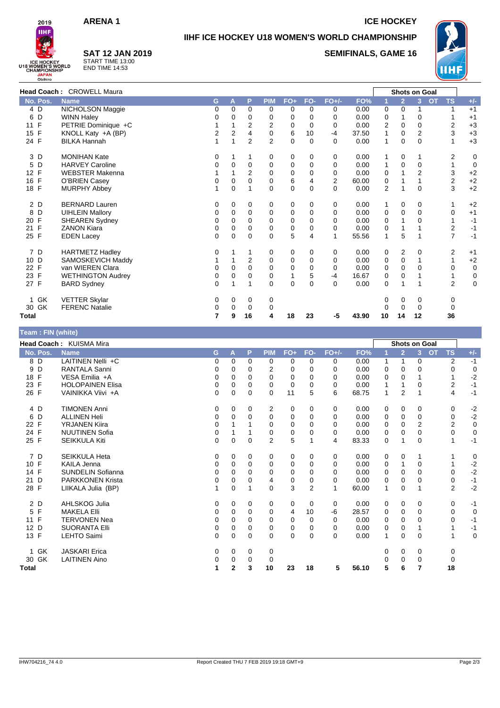**SAT 12 JAN 2019** START TIME 13:00 END TIME 14:53

**ARENA 1** ICE HOCKEY



**Team : FIN (white)**

# **IIHF ICE HOCKEY U18 WOMEN'S WORLD CHAMPIONSHIP**

**SEMIFINALS, GAME 16**



| Head Coach: CROWELL Maura |                          |          |          |                |                |              |          |                |       |                | Shots on Goal  |             |           |                |             |
|---------------------------|--------------------------|----------|----------|----------------|----------------|--------------|----------|----------------|-------|----------------|----------------|-------------|-----------|----------------|-------------|
| No. Pos.                  | <b>Name</b>              | G        | A        | P              | <b>PIM</b>     | $FO+$        | FO-      | $FO+/-$        | FO%   |                | $\overline{2}$ | 3           | <b>OT</b> | <b>TS</b>      | $+/-$       |
| 4 D                       | NICHOLSON Maggie         | 0        | 0        | $\Omega$       | $\Omega$       | 0            | 0        | 0              | 0.00  | 0              | 0              |             |           |                | $+1$        |
| D<br>6                    | <b>WINN Haley</b>        | $\Omega$ | $\Omega$ | 0              | 0              | 0            | 0        | $\Omega$       | 0.00  | 0              |                | 0           |           |                | $+1$        |
| F<br>11                   | PETRIE Dominique +C      |          |          | 2              | 2              | 0            | $\Omega$ | 0              | 0.00  | 2              | 0              | $\Omega$    |           | 2              | $+3$        |
| $\mathsf{F}$<br>15        | KNOLL Katy +A (BP)       | 2        | 2        | 4              | 0              | 6            | 10       | $-4$           | 37.50 | 1              | 0              | 2           |           | 3              | $+3$        |
| 24 F                      | <b>BILKA Hannah</b>      | 1        |          | $\overline{2}$ | $\overline{2}$ | 0            | $\Omega$ | $\Omega$       | 0.00  | 1              | 0              | $\mathbf 0$ |           | 1              | $+3$        |
| 3<br>D                    | <b>MONIHAN Kate</b>      | 0        |          |                | 0              | 0            | 0        | 0              | 0.00  | 1              | 0              | 1           |           | 2              | 0           |
| D<br>5                    | <b>HARVEY Caroline</b>   | 0        | $\Omega$ | 0              | 0              | 0            | 0        | 0              | 0.00  | 1              | $\mathbf 0$    | $\Omega$    |           | 1              | 0           |
| F<br>12                   | <b>WEBSTER Makenna</b>   |          |          | 2              | 0              | 0            | 0        | 0              | 0.00  | 0              |                | 2           |           | 3              | $+2$        |
| F<br>16                   | O'BRIEN Casey            | 0        | 0        | 0              | $\mathbf 0$    | 6            | 4        | $\overline{2}$ | 60.00 | 0              |                |             |           | 2              | $+2$        |
| F<br>18                   | <b>MURPHY Abbey</b>      | 1        | 0        |                | $\Omega$       | 0            | 0        | $\Omega$       | 0.00  | $\overline{2}$ | 1              | $\Omega$    |           | 3              | $+2$        |
| 2 D                       | <b>BERNARD Lauren</b>    | 0        | 0        | 0              | 0              | 0            | 0        | 0              | 0.00  | 1              | 0              | 0           |           | 1              | $+2$        |
| D<br>8                    | <b>UIHLEIN Mallory</b>   | 0        | 0        | 0              | 0              | 0            | 0        | 0              | 0.00  | 0              | $\mathbf 0$    | $\Omega$    |           | 0              | $+1$        |
| F<br>20                   | <b>SHEAREN Sydney</b>    | 0        | 0        | 0              | 0              | 0            | 0        | 0              | 0.00  | 0              |                | 0           |           |                | $-1$        |
| F<br>21                   | <b>ZANON Kiara</b>       | 0        | 0        | 0              | 0              | 0            | 0        | 0              | 0.00  | 0              | 1              |             |           | 2              | $-1$        |
| F<br>25                   | <b>EDEN Lacey</b>        | $\Omega$ | 0        | 0              | $\Omega$       | 5            | 4        | 1              | 55.56 | $\mathbf{1}$   | 5              |             |           | $\overline{7}$ | $-1$        |
| 7 D                       | <b>HARTMETZ Hadley</b>   | 0        |          | 1              | 0              | 0            | 0        | 0              | 0.00  | 0              | 2              | 0           |           | 2              | $+1$        |
| 10 D                      | SAMOSKEVICH Maddy        |          |          | 2              | 0              | 0            | 0        | 0              | 0.00  | 0              | 0              |             |           | 1              | $+2$        |
| F<br>22                   | van WIEREN Clara         | 0        | 0        | 0              | 0              | 0            | 0        | 0              | 0.00  | $\mathbf 0$    | 0              | $\Omega$    |           | 0              | $\mathbf 0$ |
| 23 F                      | <b>WETHINGTON Audrey</b> | 0        | 0        | 0              | 0              | $\mathbf{1}$ | 5        | $-4$           | 16.67 | 0              | 0              |             |           |                | 0           |
| 27 F                      | <b>BARD Sydney</b>       | 0        |          | 1              | $\Omega$       | 0            | $\Omega$ | $\Omega$       | 0.00  | 0              | 1              |             |           | $\overline{2}$ | $\mathbf 0$ |
| 1 GK                      | <b>VETTER Skylar</b>     | 0        | 0        | 0              | 0              |              |          |                |       | 0              | 0              | 0           |           | 0              |             |
| 30 GK                     | <b>FERENC Natalie</b>    | 0        | 0        | 0              | 0              |              |          |                |       |                | 0              | 0           |           | 0              |             |
| <b>Total</b>              |                          | 7        | 9        | 16             | 4              | 18           | 23       | -5             | 43.90 | 10             | 14             | 12          |           | 36             |             |

| $\mu$ reality (writte) |                          |   |              |              |                |       |                |          |       |              |                      |                |           |                |             |
|------------------------|--------------------------|---|--------------|--------------|----------------|-------|----------------|----------|-------|--------------|----------------------|----------------|-----------|----------------|-------------|
|                        | Head Coach: KUISMA Mira  |   |              |              |                |       |                |          |       |              | <b>Shots on Goal</b> |                |           |                |             |
| No. Pos.               | <b>Name</b>              | G | A            | P            | <b>PIM</b>     | $FO+$ | FO-            | $FO+/-$  | FO%   |              | $\overline{2}$       | 3 <sup>1</sup> | <b>OT</b> | <b>TS</b>      | $+/-$       |
| 8 D                    | LAITINEN Nelli +C        | 0 | 0            | $\Omega$     | 0              | 0     | $\Omega$       | 0        | 0.00  | $\mathbf{1}$ | 1                    | $\mathbf 0$    |           | 2              | $-1$        |
| 9<br>D                 | <b>RANTALA Sanni</b>     | 0 | 0            | 0            | 2              | 0     | $\Omega$       | 0        | 0.00  | 0            | 0                    | 0              |           | 0              | 0           |
| 18 F                   | VESA Emilia +A           | 0 | $\Omega$     | 0            | $\Omega$       | 0     | $\Omega$       | 0        | 0.00  | 0            | 0                    |                |           |                | $-2$        |
| 23 F                   | <b>HOLOPAINEN Elisa</b>  | 0 | 0            | 0            | 0              | 0     | 0              | 0        | 0.00  | 1            |                      | 0              |           | 2              | $-1$        |
| 26 F                   | VAINIKKA Viivi +A        | 0 | $\Omega$     | $\Omega$     | $\Omega$       | 11    | 5              | 6        | 68.75 | 1            | $\overline{2}$       |                |           | 4              | $-1$        |
| 4 D                    | <b>TIMONEN Anni</b>      | 0 | 0            | 0            | 2              | 0     | 0              | 0        | 0.00  | 0            | 0                    | 0              |           | 0              | $-2$        |
| 6 D                    | <b>ALLINEN Heli</b>      | 0 | $\Omega$     | $\mathbf{0}$ | $\mathbf 0$    | 0     | $\mathbf 0$    | $\Omega$ | 0.00  | 0            | $\mathbf 0$          | $\Omega$       |           | 0              | $-2$        |
| 22 F                   | <b>YRJANEN Kiira</b>     | 0 |              |              | 0              | 0     | $\Omega$       | 0        | 0.00  | 0            | 0                    | $\overline{2}$ |           | 2              | $\mathbf 0$ |
| 24 F                   | <b>NUUTINEN Sofia</b>    | 0 |              |              | 0              | 0     | $\Omega$       | 0        | 0.00  | 0            | 0                    | 0              |           | 0              | $\mathbf 0$ |
| 25 F                   | <b>SEIKKULA Kiti</b>     | 0 | 0            | $\mathbf 0$  | $\overline{2}$ | 5     | 1              | 4        | 83.33 | 0            |                      | 0              |           | 1              | $-1$        |
| 7 D                    | <b>SEIKKULA Heta</b>     | 0 | 0            | 0            | 0              | 0     | 0              | 0        | 0.00  | 0            | 0                    |                |           |                | 0           |
| 10 F                   | <b>KAILA Jenna</b>       | 0 | $\Omega$     | $\Omega$     | 0              | 0     | $\Omega$       | $\Omega$ | 0.00  | 0            | 1                    | $\Omega$       |           |                | $-2$        |
| 14 F                   | <b>SUNDELIN Sofianna</b> | 0 | $\Omega$     | 0            | 0              | 0     | 0              | 0        | 0.00  | 0            | 0                    | 0              |           | 0              | $-2$        |
| D<br>21                | <b>PARKKONEN Krista</b>  | 0 | $\Omega$     | 0            | 4              | 0     | 0              | 0        | 0.00  | 0            | 0                    | $\Omega$       |           | 0              | $-1$        |
| 28 F                   | LIIKALA Julia (BP)       | 1 | 0            | 1            | 0              | 3     | $\overline{2}$ |          | 60.00 | 1            | 0                    | 1              |           | $\overline{2}$ | $-2$        |
| 2 D                    | AHLSKOG Julia            | 0 | 0            | 0            | 0              | 0     | $\mathbf 0$    | 0        | 0.00  | 0            | 0                    | 0              |           | 0              | $-1$        |
| 5 F                    | <b>MAKELA Elli</b>       | 0 | 0            | 0            | 0              | 4     | 10             | -6       | 28.57 | 0            | 0                    | 0              |           | 0              | 0           |
| 11 F                   | <b>TERVONEN Nea</b>      | 0 | $\Omega$     | 0            | $\Omega$       | 0     | $\Omega$       | 0        | 0.00  | 0            | 0                    | 0              |           | 0              | $-1$        |
| 12 D                   | <b>SUORANTA Elli</b>     | 0 | 0            | 0            | 0              | 0     | 0              | 0        | 0.00  | 0            | 0                    | 1              |           |                | $-1$        |
| 13 F                   | <b>LEHTO Saimi</b>       | 0 | 0            | 0            | $\Omega$       | 0     | 0              | $\Omega$ | 0.00  | 1            | 0                    | $\mathbf 0$    |           |                | $\mathbf 0$ |
| 1 GK                   | <b>JASKARI</b> Erica     | 0 | 0            | 0            | 0              |       |                |          |       | 0            | 0                    | 0              |           | 0              |             |
| 30 GK                  | <b>LAITINEN Aino</b>     | 0 | 0            | 0            | 0              |       |                |          |       | ∩            | 0                    | 0              |           | 0              |             |
| Total                  |                          | 1 | $\mathbf{2}$ | 3            | 10             | 23    | 18             | 5        | 56.10 | 5            | 6                    | 7              |           | 18             |             |